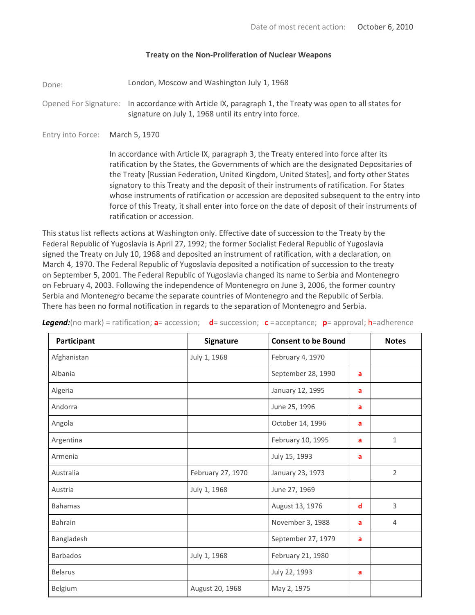## **Treaty on the Non-Proliferation of Nuclear Weapons**

Done: London, Moscow and Washington July 1, 1968

Opened For Signature: In accordance with Article IX, paragraph 1, the Treaty was open to all states for signature on July 1, 1968 until its entry into force.

Entry into Force: March 5, 1970

In accordance with Article IX, paragraph 3, the Treaty entered into force after its ratification by the States, the Governments of which are the designated Depositaries of the Treaty [Russian Federation, United Kingdom, United States], and forty other States signatory to this Treaty and the deposit of their instruments of ratification. For States whose instruments of ratification or accession are deposited subsequent to the entry into force of this Treaty, it shall enter into force on the date of deposit of their instruments of ratification or accession.

This status list reflects actions at Washington only. Effective date of succession to the Treaty by the Federal Republic of Yugoslavia is April 27, 1992; the former Socialist Federal Republic of Yugoslavia signed the Treaty on July 10, 1968 and deposited an instrument of ratification, with a declaration, on March 4, 1970. The Federal Republic of Yugoslavia deposited a notification of succession to the treaty on September 5, 2001. The Federal Republic of Yugoslavia changed its name to Serbia and Montenegro on February 4, 2003. Following the independence of Montenegro on June 3, 2006, the former country Serbia and Montenegro became the separate countries of Montenegro and the Republic of Serbia. There has been no formal notification in regards to the separation of Montenegro and Serbia.

| Participant     | Signature         | <b>Consent to be Bound</b> |   | <b>Notes</b>   |
|-----------------|-------------------|----------------------------|---|----------------|
| Afghanistan     | July 1, 1968      | February 4, 1970           |   |                |
| Albania         |                   | September 28, 1990         | a |                |
| Algeria         |                   | January 12, 1995           | a |                |
| Andorra         |                   | June 25, 1996              | a |                |
| Angola          |                   | October 14, 1996           | a |                |
| Argentina       |                   | February 10, 1995          | a | 1              |
| Armenia         |                   | July 15, 1993              | a |                |
| Australia       | February 27, 1970 | January 23, 1973           |   | $\overline{2}$ |
| Austria         | July 1, 1968      | June 27, 1969              |   |                |
| <b>Bahamas</b>  |                   | August 13, 1976            | d | 3              |
| Bahrain         |                   | November 3, 1988           | a | $\overline{4}$ |
| Bangladesh      |                   | September 27, 1979         | a |                |
| <b>Barbados</b> | July 1, 1968      | February 21, 1980          |   |                |
| <b>Belarus</b>  |                   | July 22, 1993              | a |                |
| Belgium         | August 20, 1968   | May 2, 1975                |   |                |

*Legend:*(no mark) = ratification; **a**= accession; **d**= succession; **c** =acceptance; **p**= approval; h=adherence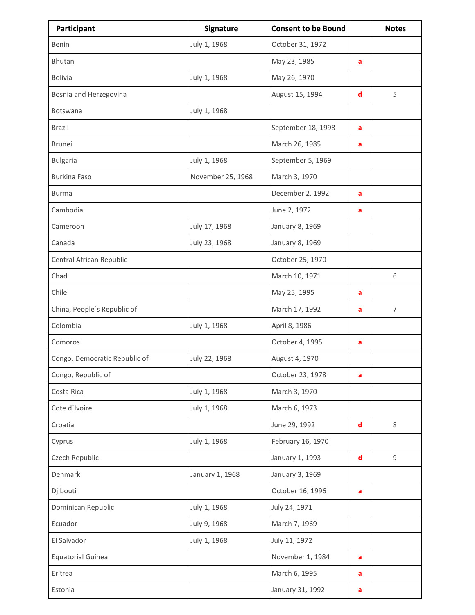| Participant                   | Signature         | <b>Consent to be Bound</b> |   | <b>Notes</b>   |
|-------------------------------|-------------------|----------------------------|---|----------------|
| Benin                         | July 1, 1968      | October 31, 1972           |   |                |
| Bhutan                        |                   | May 23, 1985               | a |                |
| <b>Bolivia</b>                | July 1, 1968      | May 26, 1970               |   |                |
| Bosnia and Herzegovina        |                   | August 15, 1994            | d | 5              |
| Botswana                      | July 1, 1968      |                            |   |                |
| <b>Brazil</b>                 |                   | September 18, 1998         | a |                |
| <b>Brunei</b>                 |                   | March 26, 1985             | a |                |
| <b>Bulgaria</b>               | July 1, 1968      | September 5, 1969          |   |                |
| <b>Burkina Faso</b>           | November 25, 1968 | March 3, 1970              |   |                |
| <b>Burma</b>                  |                   | December 2, 1992           | a |                |
| Cambodia                      |                   | June 2, 1972               | a |                |
| Cameroon                      | July 17, 1968     | January 8, 1969            |   |                |
| Canada                        | July 23, 1968     | January 8, 1969            |   |                |
| Central African Republic      |                   | October 25, 1970           |   |                |
| Chad                          |                   | March 10, 1971             |   | 6              |
| Chile                         |                   | May 25, 1995               | a |                |
| China, People's Republic of   |                   | March 17, 1992             | a | $\overline{7}$ |
| Colombia                      | July 1, 1968      | April 8, 1986              |   |                |
| Comoros                       |                   | October 4, 1995            | a |                |
| Congo, Democratic Republic of | July 22, 1968     | August 4, 1970             |   |                |
| Congo, Republic of            |                   | October 23, 1978           | a |                |
| Costa Rica                    | July 1, 1968      | March 3, 1970              |   |                |
| Cote d'Ivoire                 | July 1, 1968      | March 6, 1973              |   |                |
| Croatia                       |                   | June 29, 1992              | d | 8              |
| Cyprus                        | July 1, 1968      | February 16, 1970          |   |                |
| Czech Republic                |                   | January 1, 1993            | d | 9              |
| Denmark                       | January 1, 1968   | January 3, 1969            |   |                |
| Djibouti                      |                   | October 16, 1996           | a |                |
| Dominican Republic            | July 1, 1968      | July 24, 1971              |   |                |
| Ecuador                       | July 9, 1968      | March 7, 1969              |   |                |
| El Salvador                   | July 1, 1968      | July 11, 1972              |   |                |
| <b>Equatorial Guinea</b>      |                   | November 1, 1984           | a |                |
| Eritrea                       |                   | March 6, 1995              | a |                |
| Estonia                       |                   | January 31, 1992           | a |                |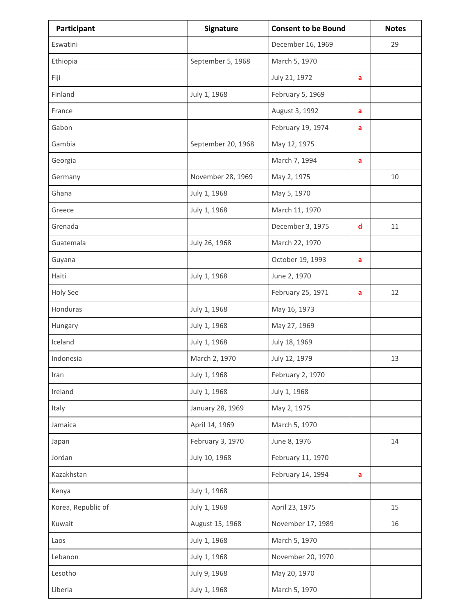| Participant        | Signature          | <b>Consent to be Bound</b> |   | <b>Notes</b> |
|--------------------|--------------------|----------------------------|---|--------------|
| Eswatini           |                    | December 16, 1969          |   | 29           |
| Ethiopia           | September 5, 1968  | March 5, 1970              |   |              |
| Fiji               |                    | July 21, 1972              | a |              |
| Finland            | July 1, 1968       | February 5, 1969           |   |              |
| France             |                    | August 3, 1992             | a |              |
| Gabon              |                    | February 19, 1974          | a |              |
| Gambia             | September 20, 1968 | May 12, 1975               |   |              |
| Georgia            |                    | March 7, 1994              | a |              |
| Germany            | November 28, 1969  | May 2, 1975                |   | 10           |
| Ghana              | July 1, 1968       | May 5, 1970                |   |              |
| Greece             | July 1, 1968       | March 11, 1970             |   |              |
| Grenada            |                    | December 3, 1975           | d | 11           |
| Guatemala          | July 26, 1968      | March 22, 1970             |   |              |
| Guyana             |                    | October 19, 1993           | a |              |
| Haiti              | July 1, 1968       | June 2, 1970               |   |              |
| Holy See           |                    | February 25, 1971          | a | 12           |
| Honduras           | July 1, 1968       | May 16, 1973               |   |              |
| Hungary            | July 1, 1968       | May 27, 1969               |   |              |
| Iceland            | July 1, 1968       | July 18, 1969              |   |              |
| Indonesia          | March 2, 1970      | July 12, 1979              |   | 13           |
| Iran               | July 1, 1968       | February 2, 1970           |   |              |
| Ireland            | July 1, 1968       | July 1, 1968               |   |              |
| Italy              | January 28, 1969   | May 2, 1975                |   |              |
| Jamaica            | April 14, 1969     | March 5, 1970              |   |              |
| Japan              | February 3, 1970   | June 8, 1976               |   | 14           |
| Jordan             | July 10, 1968      | February 11, 1970          |   |              |
| Kazakhstan         |                    | February 14, 1994          | a |              |
| Kenya              | July 1, 1968       |                            |   |              |
| Korea, Republic of | July 1, 1968       | April 23, 1975             |   | 15           |
| Kuwait             | August 15, 1968    | November 17, 1989          |   | 16           |
| Laos               | July 1, 1968       | March 5, 1970              |   |              |
| Lebanon            | July 1, 1968       | November 20, 1970          |   |              |
| Lesotho            | July 9, 1968       | May 20, 1970               |   |              |
| Liberia            | July 1, 1968       | March 5, 1970              |   |              |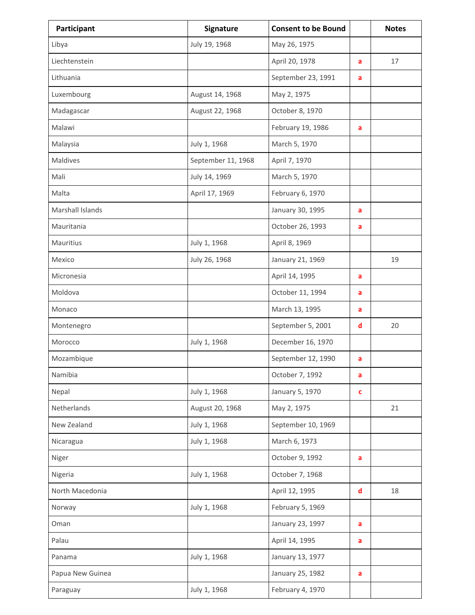| Participant      | Signature          | <b>Consent to be Bound</b> |   | <b>Notes</b> |
|------------------|--------------------|----------------------------|---|--------------|
| Libya            | July 19, 1968      | May 26, 1975               |   |              |
| Liechtenstein    |                    | April 20, 1978             | a | 17           |
| Lithuania        |                    | September 23, 1991         | a |              |
| Luxembourg       | August 14, 1968    | May 2, 1975                |   |              |
| Madagascar       | August 22, 1968    | October 8, 1970            |   |              |
| Malawi           |                    | February 19, 1986          | a |              |
| Malaysia         | July 1, 1968       | March 5, 1970              |   |              |
| Maldives         | September 11, 1968 | April 7, 1970              |   |              |
| Mali             | July 14, 1969      | March 5, 1970              |   |              |
| Malta            | April 17, 1969     | February 6, 1970           |   |              |
| Marshall Islands |                    | January 30, 1995           | a |              |
| Mauritania       |                    | October 26, 1993           | a |              |
| Mauritius        | July 1, 1968       | April 8, 1969              |   |              |
| Mexico           | July 26, 1968      | January 21, 1969           |   | 19           |
| Micronesia       |                    | April 14, 1995             | a |              |
| Moldova          |                    | October 11, 1994           | a |              |
| Monaco           |                    | March 13, 1995             | a |              |
| Montenegro       |                    | September 5, 2001          | d | 20           |
| Morocco          | July 1, 1968       | December 16, 1970          |   |              |
| Mozambique       |                    | September 12, 1990         | a |              |
| Namibia          |                    | October 7, 1992            | a |              |
| Nepal            | July 1, 1968       | January 5, 1970            | c |              |
| Netherlands      | August 20, 1968    | May 2, 1975                |   | 21           |
| New Zealand      | July 1, 1968       | September 10, 1969         |   |              |
| Nicaragua        | July 1, 1968       | March 6, 1973              |   |              |
| Niger            |                    | October 9, 1992            | a |              |
| Nigeria          | July 1, 1968       | October 7, 1968            |   |              |
| North Macedonia  |                    | April 12, 1995             | d | 18           |
| Norway           | July 1, 1968       | February 5, 1969           |   |              |
| Oman             |                    | January 23, 1997           | a |              |
| Palau            |                    | April 14, 1995             | a |              |
| Panama           | July 1, 1968       | January 13, 1977           |   |              |
| Papua New Guinea |                    | January 25, 1982           | a |              |
| Paraguay         | July 1, 1968       | February 4, 1970           |   |              |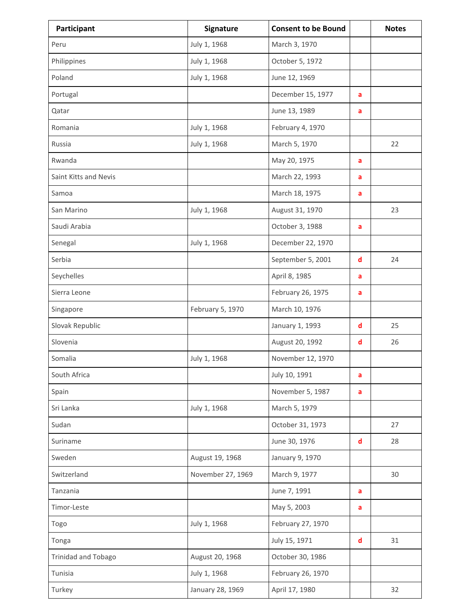| Participant           | <b>Signature</b>  | <b>Consent to be Bound</b> |              | <b>Notes</b> |
|-----------------------|-------------------|----------------------------|--------------|--------------|
| Peru                  | July 1, 1968      | March 3, 1970              |              |              |
| Philippines           | July 1, 1968      | October 5, 1972            |              |              |
| Poland                | July 1, 1968      | June 12, 1969              |              |              |
| Portugal              |                   | December 15, 1977          | a            |              |
| Qatar                 |                   | June 13, 1989              | a            |              |
| Romania               | July 1, 1968      | February 4, 1970           |              |              |
| Russia                | July 1, 1968      | March 5, 1970              |              | 22           |
| Rwanda                |                   | May 20, 1975               | a            |              |
| Saint Kitts and Nevis |                   | March 22, 1993             | a            |              |
| Samoa                 |                   | March 18, 1975             | a            |              |
| San Marino            | July 1, 1968      | August 31, 1970            |              | 23           |
| Saudi Arabia          |                   | October 3, 1988            | a            |              |
| Senegal               | July 1, 1968      | December 22, 1970          |              |              |
| Serbia                |                   | September 5, 2001          | d            | 24           |
| Seychelles            |                   | April 8, 1985              | a            |              |
| Sierra Leone          |                   | February 26, 1975          | a            |              |
| Singapore             | February 5, 1970  | March 10, 1976             |              |              |
| Slovak Republic       |                   | January 1, 1993            | d            | 25           |
| Slovenia              |                   | August 20, 1992            | d            | 26           |
| Somalia               | July 1, 1968      | November 12, 1970          |              |              |
| South Africa          |                   | July 10, 1991              | a            |              |
| Spain                 |                   | November 5, 1987           | a            |              |
| Sri Lanka             | July 1, 1968      | March 5, 1979              |              |              |
| Sudan                 |                   | October 31, 1973           |              | 27           |
| Suriname              |                   | June 30, 1976              | $\mathsf{d}$ | 28           |
| Sweden                | August 19, 1968   | January 9, 1970            |              |              |
| Switzerland           | November 27, 1969 | March 9, 1977              |              | 30           |
| Tanzania              |                   | June 7, 1991               | a            |              |
| Timor-Leste           |                   | May 5, 2003                | a            |              |
| Togo                  | July 1, 1968      | February 27, 1970          |              |              |
| Tonga                 |                   | July 15, 1971              | d            | 31           |
| Trinidad and Tobago   | August 20, 1968   | October 30, 1986           |              |              |
| Tunisia               | July 1, 1968      | February 26, 1970          |              |              |
| Turkey                | January 28, 1969  | April 17, 1980             |              | 32           |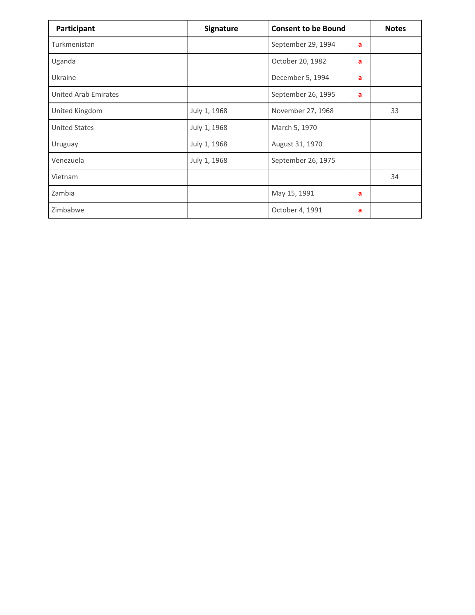| Participant                 | Signature    | <b>Consent to be Bound</b> |   | <b>Notes</b> |
|-----------------------------|--------------|----------------------------|---|--------------|
| Turkmenistan                |              | September 29, 1994         | a |              |
| Uganda                      |              | October 20, 1982           | a |              |
| Ukraine                     |              | December 5, 1994           | a |              |
| <b>United Arab Emirates</b> |              | September 26, 1995         | a |              |
| United Kingdom              | July 1, 1968 | November 27, 1968          |   | 33           |
| <b>United States</b>        | July 1, 1968 | March 5, 1970              |   |              |
| Uruguay                     | July 1, 1968 | August 31, 1970            |   |              |
| Venezuela                   | July 1, 1968 | September 26, 1975         |   |              |
| Vietnam                     |              |                            |   | 34           |
| Zambia                      |              | May 15, 1991               | a |              |
| Zimbabwe                    |              | October 4, 1991            | a |              |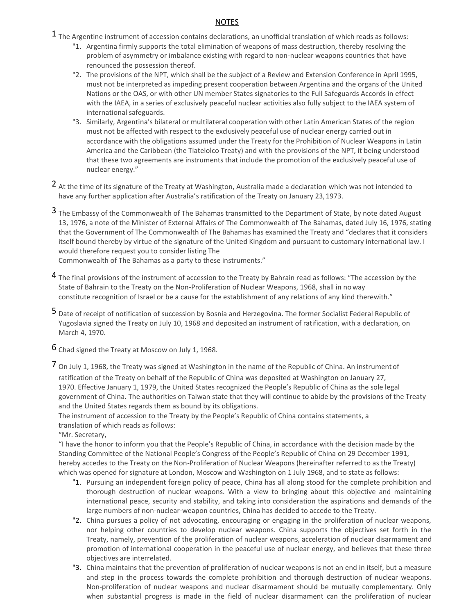# **NOTES**

 $1$  The Argentine instrument of accession contains declarations, an unofficial translation of which reads as follows:

- "1. Argentina firmly supports the total elimination of weapons of mass destruction, thereby resolving the problem of asymmetry or imbalance existing with regard to non-nuclear weapons countries that have renounced the possession thereof.
- "2. The provisions of the NPT, which shall be the subject of a Review and Extension Conference in April 1995, must not be interpreted as impeding present cooperation between Argentina and the organs of the United Nations or the OAS, or with other UN member States signatories to the Full Safeguards Accords in effect with the IAEA, in a series of exclusively peaceful nuclear activities also fully subject to the IAEA system of international safeguards.
- "3. Similarly, Argentina's bilateral or multilateral cooperation with other Latin American States of the region must not be affected with respect to the exclusively peaceful use of nuclear energy carried out in accordance with the obligations assumed under the Treaty for the Prohibition of Nuclear Weapons in Latin America and the Caribbean (the Tlatelolco Treaty) and with the provisions of the NPT, it being understood that these two agreements are instruments that include the promotion of the exclusively peaceful use of nuclear energy."
- 2 At the time of its signature of the Treaty at Washington, Australia made a declaration which was not intended to have any further application after Australia's ratification of the Treaty on January 23,1973.
- 3 The Embassy of the Commonwealth of The Bahamas transmitted to the Department of State, by note dated August 13, 1976, a note of the Minister of External Affairs of The Commonwealth of The Bahamas, dated July 16, 1976, stating that the Government of The Commonwealth of The Bahamas has examined the Treaty and "declares that it considers itself bound thereby by virtue of the signature of the United Kingdom and pursuant to customary international law. I would therefore request you to consider listing The

Commonwealth of The Bahamas as a party to these instruments."

- 4 The final provisions of the instrument of accession to the Treaty by Bahrain read as follows: "The accession by the State of Bahrain to the Treaty on the Non-Proliferation of Nuclear Weapons, 1968, shall in noway constitute recognition of Israel or be a cause for the establishment of any relations of any kind therewith."
- 5 Date of receipt of notification of succession by Bosnia and Herzegovina. The former Socialist Federal Republic of Yugoslavia signed the Treaty on July 10, 1968 and deposited an instrument of ratification, with a declaration, on March 4, 1970.
- 6 Chad signed the Treaty at Moscow on July 1, 1968.
- 7 On July 1, 1968, the Treaty was signed at Washington in the name of the Republic of China. An instrument of ratification of the Treaty on behalf of the Republic of China was deposited at Washington on January 27, 1970. Effective January 1, 1979, the United States recognized the People's Republic of China as the sole legal government of China. The authorities on Taiwan state that they will continue to abide by the provisions of the Treaty and the United States regards them as bound by its obligations.

The instrument of accession to the Treaty by the People's Republic of China contains statements, a translation of which reads as follows:

"Mr. Secretary,

"I have the honor to inform you that the People's Republic of China, in accordance with the decision made by the Standing Committee of the National People's Congress of the People's Republic of China on 29 December 1991, hereby accedes to the Treaty on the Non-Proliferation of Nuclear Weapons (hereinafter referred to as the Treaty) which was opened for signature at London, Moscow and Washington on 1 July 1968, and to state as follows:

- "1. Pursuing an independent foreign policy of peace, China has all along stood for the complete prohibition and thorough destruction of nuclear weapons. With a view to bringing about this objective and maintaining international peace, security and stability, and taking into consideration the aspirations and demands of the large numbers of non-nuclear-weapon countries, China has decided to accede to the Treaty.
- "2. China pursues a policy of not advocating, encouraging or engaging in the proliferation of nuclear weapons, nor helping other countries to develop nuclear weapons. China supports the objectives set forth in the Treaty, namely, prevention of the proliferation of nuclear weapons, acceleration of nuclear disarmament and promotion of international cooperation in the peaceful use of nuclear energy, and believes that these three objectives are interrelated.
- "3. China maintains that the prevention of proliferation of nuclear weapons is not an end in itself, but a measure and step in the process towards the complete prohibition and thorough destruction of nuclear weapons. Non-proliferation of nuclear weapons and nuclear disarmament should be mutually complementary. Only when substantial progress is made in the field of nuclear disarmament can the proliferation of nuclear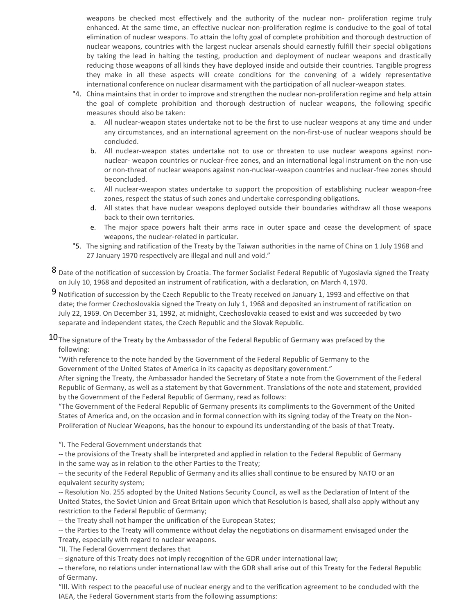weapons be checked most effectively and the authority of the nuclear non- proliferation regime truly enhanced. At the same time, an effective nuclear non-proliferation regime is conducive to the goal of total elimination of nuclear weapons. To attain the lofty goal of complete prohibition and thorough destruction of nuclear weapons, countries with the largest nuclear arsenals should earnestly fulfill their special obligations by taking the lead in halting the testing, production and deployment of nuclear weapons and drastically reducing those weapons of all kinds they have deployed inside and outside their countries. Tangible progress they make in all these aspects will create conditions for the convening of a widely representative international conference on nuclear disarmament with the participation of all nuclear-weapon states.

- "4. China maintains that in order to improve and strengthen the nuclear non-proliferation regime and help attain the goal of complete prohibition and thorough destruction of nuclear weapons, the following specific measures should also be taken:
	- a. All nuclear-weapon states undertake not to be the first to use nuclear weapons at any time and under any circumstances, and an international agreement on the non-first-use of nuclear weapons should be concluded.
	- b. All nuclear-weapon states undertake not to use or threaten to use nuclear weapons against nonnuclear- weapon countries or nuclear-free zones, and an international legal instrument on the non-use or non-threat of nuclear weapons against non-nuclear-weapon countries and nuclear-free zones should beconcluded.
	- c. All nuclear-weapon states undertake to support the proposition of establishing nuclear weapon-free zones, respect the status of such zones and undertake corresponding obligations.
	- d. All states that have nuclear weapons deployed outside their boundaries withdraw all those weapons back to their own territories.
	- e. The major space powers halt their arms race in outer space and cease the development of space weapons, the nuclear-related in particular.
- "5. The signing and ratification of the Treaty by the Taiwan authorities in the name of China on 1 July 1968 and 27 January 1970 respectively are illegal and null and void."
- 8 Date of the notification of succession by Croatia. The former Socialist Federal Republic of Yugoslavia signed the Treaty on July 10, 1968 and deposited an instrument of ratification, with a declaration, on March 4, 1970.
- 9 Notification of succession by the Czech Republic to the Treaty received on January 1, 1993 and effective on that date; the former Czechoslovakia signed the Treaty on July 1, 1968 and deposited an instrument of ratification on July 22, 1969. On December 31, 1992, at midnight, Czechoslovakia ceased to exist and was succeeded by two separate and independent states, the Czech Republic and the Slovak Republic.
- $10$ The signature of the Treaty by the Ambassador of the Federal Republic of Germany was prefaced by the following:

"With reference to the note handed by the Government of the Federal Republic of Germany to the Government of the United States of America in its capacity as depositary government."

After signing the Treaty, the Ambassador handed the Secretary of State a note from the Government of the Federal Republic of Germany, as well as a statement by that Government. Translations of the note and statement, provided by the Government of the Federal Republic of Germany, read as follows:

"The Government of the Federal Republic of Germany presents its compliments to the Government of the United States of America and, on the occasion and in formal connection with its signing today of the Treaty on the Non-Proliferation of Nuclear Weapons, has the honour to expound its understanding of the basis of that Treaty.

"I. The Federal Government understands that

-- the provisions of the Treaty shall be interpreted and applied in relation to the Federal Republic of Germany in the same way as in relation to the other Parties to the Treaty;

-- the security of the Federal Republic of Germany and its allies shall continue to be ensured by NATO or an equivalent security system;

-- Resolution No. 255 adopted by the United Nations Security Council, as well as the Declaration of Intent of the United States, the Soviet Union and Great Britain upon which that Resolution is based, shall also apply without any restriction to the Federal Republic of Germany;

-- the Treaty shall not hamper the unification of the European States;

-- the Parties to the Treaty will commence without delay the negotiations on disarmament envisaged under the Treaty, especially with regard to nuclear weapons.

"II. The Federal Government declares that

-- signature of this Treaty does not imply recognition of the GDR under international law;

-- therefore, no relations under international law with the GDR shall arise out of this Treaty for the Federal Republic of Germany.

"III. With respect to the peaceful use of nuclear energy and to the verification agreement to be concluded with the IAEA, the Federal Government starts from the following assumptions: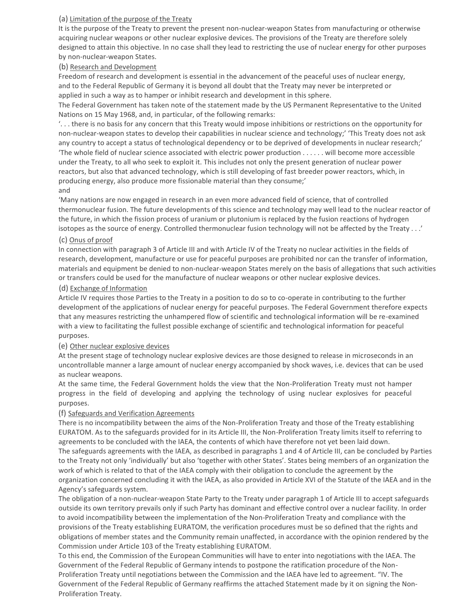#### (a) Limitation of the purpose of the Treaty

It is the purpose of the Treaty to prevent the present non-nuclear-weapon States from manufacturing or otherwise acquiring nuclear weapons or other nuclear explosive devices. The provisions of the Treaty are therefore solely designed to attain this objective. In no case shall they lead to restricting the use of nuclear energy for other purposes by non-nuclear-weapon States.

### (b) Research and Development

Freedom of research and development is essential in the advancement of the peaceful uses of nuclear energy, and to the Federal Republic of Germany it is beyond all doubt that the Treaty may never be interpreted or applied in such a way as to hamper or inhibit research and development in this sphere.

The Federal Government has taken note of the statement made by the US Permanent Representative to the United Nations on 15 May 1968, and, in particular, of the following remarks:

'. . . there is no basis for any concern that this Treaty would impose inhibitions or restrictions on the opportunity for non-nuclear-weapon states to develop their capabilities in nuclear science and technology;' 'This Treaty does not ask any country to accept a status of technological dependency or to be deprived of developments in nuclear research;' 'The whole field of nuclear science associated with electric power production . . . . . . will become more accessible under the Treaty, to all who seek to exploit it. This includes not only the present generation of nuclear power reactors, but also that advanced technology, which is still developing of fast breeder power reactors, which, in producing energy, also produce more fissionable material than they consume;'

#### and

'Many nations are now engaged in research in an even more advanced field of science, that of controlled thermonuclear fusion. The future developments of this science and technology may well lead to the nuclear reactor of the future, in which the fission process of uranium or plutonium is replaced by the fusion reactions of hydrogen isotopes as the source of energy. Controlled thermonuclear fusion technology will not be affected by the Treaty . . .'

#### (c) Onus of proof

In connection with paragraph 3 of Article III and with Article IV of the Treaty no nuclear activities in the fields of research, development, manufacture or use for peaceful purposes are prohibited nor can the transfer of information, materials and equipment be denied to non-nuclear-weapon States merely on the basis of allegations that such activities or transfers could be used for the manufacture of nuclear weapons or other nuclear explosive devices.

#### (d) Exchange of Information

Article IV requires those Parties to the Treaty in a position to do so to co-operate in contributing to the further development of the applications of nuclear energy for peaceful purposes. The Federal Government therefore expects that any measures restricting the unhampered flow of scientific and technological information will be re-examined with a view to facilitating the fullest possible exchange of scientific and technological information for peaceful purposes.

### (e) Other nuclear explosive devices

At the present stage of technology nuclear explosive devices are those designed to release in microseconds in an uncontrollable manner a large amount of nuclear energy accompanied by shock waves, i.e. devices that can be used as nuclear weapons.

At the same time, the Federal Government holds the view that the Non-Proliferation Treaty must not hamper progress in the field of developing and applying the technology of using nuclear explosives for peaceful purposes.

### (f) Safeguards and Verification Agreements

There is no incompatibility between the aims of the Non-Proliferation Treaty and those of the Treaty establishing EURATOM. As to the safeguards provided for in its Article III, the Non-Proliferation Treaty limits itself to referring to agreements to be concluded with the IAEA, the contents of which have therefore not yet been laid down. The safeguards agreements with the IAEA, as described in paragraphs 1 and 4 of Article III, can be concluded by Parties to the Treaty not only 'individually' but also 'together with other States'. States being members of an organization the work of which is related to that of the IAEA comply with their obligation to conclude the agreement by the organization concerned concluding it with the IAEA, as also provided in Article XVI of the Statute of the IAEA and in the Agency's safeguards system.

The obligation of a non-nuclear-weapon State Party to the Treaty under paragraph 1 of Article III to accept safeguards outside its own territory prevails only if such Party has dominant and effective control over a nuclear facility. In order to avoid incompatibility between the implementation of the Non-Proliferation Treaty and compliance with the provisions of the Treaty establishing EURATOM, the verification procedures must be so defined that the rights and obligations of member states and the Community remain unaffected, in accordance with the opinion rendered by the Commission under Article 103 of the Treaty establishing EURATOM.

To this end, the Commission of the European Communities will have to enter into negotiations with the IAEA. The Government of the Federal Republic of Germany intends to postpone the ratification procedure of the Non-Proliferation Treaty until negotiations between the Commission and the IAEA have led to agreement. "IV. The Government of the Federal Republic of Germany reaffirms the attached Statement made by it on signing the Non-Proliferation Treaty.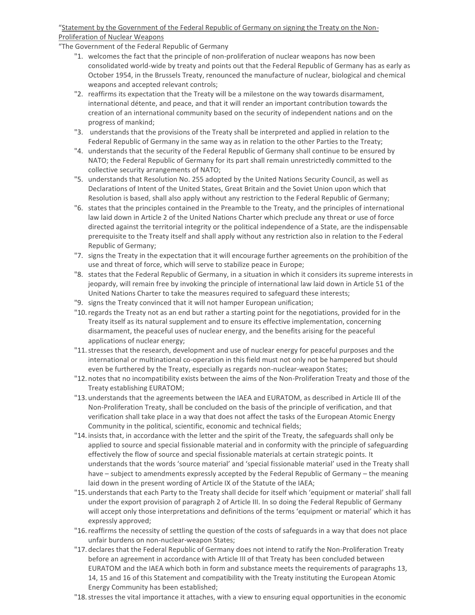"Statement by the Government of the Federal Republic of Germany on signing the Treaty on the Non-Proliferation of Nuclear Weapons

"The Government of the Federal Republic of Germany

- "1. welcomes the fact that the principle of non-proliferation of nuclear weapons has now been consolidated world-wide by treaty and points out that the Federal Republic of Germany has as early as October 1954, in the Brussels Treaty, renounced the manufacture of nuclear, biological and chemical weapons and accepted relevant controls;
- "2. reaffirms its expectation that the Treaty will be a milestone on the way towards disarmament, international détente, and peace, and that it will render an important contribution towards the creation of an international community based on the security of independent nations and on the progress of mankind;
- "3. understands that the provisions of the Treaty shall be interpreted and applied in relation to the Federal Republic of Germany in the same way as in relation to the other Parties to the Treaty;
- "4. understands that the security of the Federal Republic of Germany shall continue to be ensured by NATO; the Federal Republic of Germany for its part shall remain unrestrictedly committed to the collective security arrangements of NATO;
- "5. understands that Resolution No. 255 adopted by the United Nations Security Council, as well as Declarations of Intent of the United States, Great Britain and the Soviet Union upon which that Resolution is based, shall also apply without any restriction to the Federal Republic of Germany;
- "6. states that the principles contained in the Preamble to the Treaty, and the principles of international law laid down in Article 2 of the United Nations Charter which preclude any threat or use of force directed against the territorial integrity or the political independence of a State, are the indispensable prerequisite to the Treaty itself and shall apply without any restriction also in relation to the Federal Republic of Germany;
- "7. signs the Treaty in the expectation that it will encourage further agreements on the prohibition of the use and threat of force, which will serve to stabilize peace in Europe;
- "8. states that the Federal Republic of Germany, in a situation in which it considers its supreme interests in jeopardy, will remain free by invoking the principle of international law laid down in Article 51 of the United Nations Charter to take the measures required to safeguard these interests;
- "9. signs the Treaty convinced that it will not hamper European unification;
- "10.regards the Treaty not as an end but rather a starting point for the negotiations, provided for in the Treaty itself as its natural supplement and to ensure its effective implementation, concerning disarmament, the peaceful uses of nuclear energy, and the benefits arising for the peaceful applications of nuclear energy;
- "11.stresses that the research, development and use of nuclear energy for peaceful purposes and the international or multinational co-operation in this field must not only not be hampered but should even be furthered by the Treaty, especially as regards non-nuclear-weapon States;
- "12. notes that no incompatibility exists between the aims of the Non-Proliferation Treaty and those of the Treaty establishing EURATOM;
- "13. understands that the agreements between the IAEA and EURATOM, as described in Article III of the Non-Proliferation Treaty, shall be concluded on the basis of the principle of verification, and that verification shall take place in a way that does not affect the tasks of the European Atomic Energy Community in the political, scientific, economic and technical fields;
- "14. insists that, in accordance with the letter and the spirit of the Treaty, the safeguards shall only be applied to source and special fissionable material and in conformity with the principle of safeguarding effectively the flow of source and special fissionable materials at certain strategic points. It understands that the words 'source material' and 'special fissionable material' used in the Treaty shall have – subject to amendments expressly accepted by the Federal Republic of Germany – the meaning laid down in the present wording of Article IX of the Statute of the IAEA;
- "15. understands that each Party to the Treaty shall decide for itself which 'equipment or material' shall fall under the export provision of paragraph 2 of Article III. In so doing the Federal Republic of Germany will accept only those interpretations and definitions of the terms 'equipment or material' which it has expressly approved;
- "16.reaffirms the necessity of settling the question of the costs of safeguards in a way that does not place unfair burdens on non-nuclear-weapon States;
- "17. declares that the Federal Republic of Germany does not intend to ratify the Non-Proliferation Treaty before an agreement in accordance with Article III of that Treaty has been concluded between EURATOM and the IAEA which both in form and substance meets the requirements of paragraphs 13, 14, 15 and 16 of this Statement and compatibility with the Treaty instituting the European Atomic Energy Community has been established;
- "18.stresses the vital importance it attaches, with a view to ensuring equal opportunities in the economic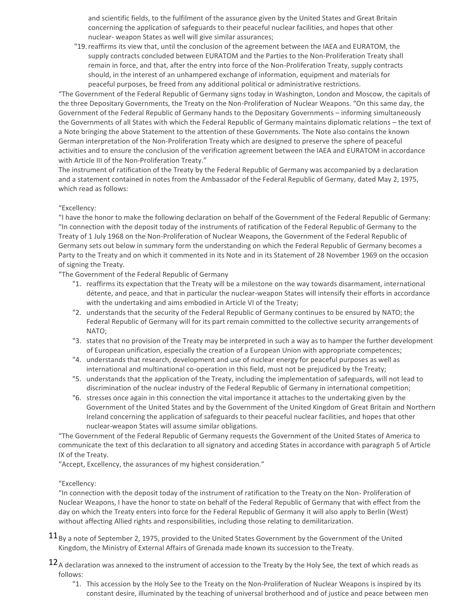and scientific fields, to the fulfilment of the assurance given by the United States and Great Britain concerning the application of safeguards to their peaceful nuclear facilities, and hopes that other nuclear- weapon States as well will give similar assurances;

"19.reaffirms its view that, until the conclusion of the agreement between the IAEA and EURATOM, the supply contracts concluded between EURATOM and the Parties to the Non-Proliferation Treaty shall remain in force, and that, after the entry into force of the Non-Proliferation Treaty, supply contracts should, in the interest of an unhampered exchange of information, equipment and materials for peaceful purposes, be freed from any additional political or administrative restrictions.

"The Government of the Federal Republic of Germany signs today in Washington, London and Moscow, the capitals of the three Depositary Governments, the Treaty on the Non-Proliferation of Nuclear Weapons. "On this same day, the Government of the Federal Republic of Germany hands to the Depositary Governments – informing simultaneously the Governments of all States with which the Federal Republic of Germany maintains diplomatic relations – the text of a Note bringing the above Statement to the attention of these Governments. The Note also contains the known German interpretation of the Non-Proliferation Treaty which are designed to preserve the sphere of peaceful activities and to ensure the conclusion of the verification agreement between the IAEA and EURATOM in accordance with Article III of the Non-Proliferation Treaty."

The instrument of ratification of the Treaty by the Federal Republic of Germany was accompanied by a declaration and a statement contained in notes from the Ambassador of the Federal Republic of Germany, dated May 2, 1975, which read as follows:

### "Excellency:

"I have the honor to make the following declaration on behalf of the Government of the Federal Republic of Germany: "In connection with the deposit today of the instruments of ratification of the Federal Republic of Germany to the Treaty of 1 July 1968 on the Non-Proliferation of Nuclear Weapons, the Government of the Federal Republic of Germany sets out below in summary form the understanding on which the Federal Republic of Germany becomes a Party to the Treaty and on which it commented in its Note and in its Statement of 28 November 1969 on the occasion of signing the Treaty.

"The Government of the Federal Republic of Germany

- "1. reaffirms its expectation that the Treaty will be a milestone on the way towards disarmament, international détente, and peace, and that in particular the nuclear-weapon States will intensify their efforts in accordance with the undertaking and aims embodied in Article VI of the Treaty;
- "2. understands that the security of the Federal Republic of Germany continues to be ensured by NATO; the Federal Republic of Germany will for its part remain committed to the collective security arrangements of NATO;
- "3. states that no provision of the Treaty may be interpreted in such a way as to hamper the further development of European unification, especially the creation of a European Union with appropriate competences;
- "4. understands that research, development and use of nuclear energy for peaceful purposes as well as international and multinational co-operation in this field, must not be prejudiced by the Treaty;
- "5. understands that the application of the Treaty, including the implementation of safeguards, will not lead to discrimination of the nuclear industry of the Federal Republic of Germany in international competition;
- "6. stresses once again in this connection the vital importance it attaches to the undertaking given by the Government of the United States and by the Government of the United Kingdom of Great Britain and Northern Ireland concerning the application of safeguards to their peaceful nuclear facilities, and hopes that other nuclear-weapon States will assume similar obligations.

"The Government of the Federal Republic of Germany requests the Government of the United States of America to communicate the text of this declaration to all signatory and acceding States in accordance with paragraph 5 of Article IX of the Treaty.

"Accept, Excellency, the assurances of my highest consideration."

### "Excellency:

"In connection with the deposit today of the instrument of ratification to the Treaty on the Non- Proliferation of Nuclear Weapons, I have the honor to state on behalf of the Federal Republic of Germany that with effect from the day on which the Treaty enters into force for the Federal Republic of Germany it will also apply to Berlin (West) without affecting Allied rights and responsibilities, including those relating to demilitarization.

- 11 By a note of September 2, 1975, provided to the United States Government by the Government of the United Kingdom, the Ministry of External Affairs of Grenada made known its succession to theTreaty.
- $12_A$  declaration was annexed to the instrument of accession to the Treaty by the Holy See, the text of which reads as follows:
	- "1. This accession by the Holy See to the Treaty on the Non-Proliferation of Nuclear Weapons is inspired by its constant desire, illuminated by the teaching of universal brotherhood and of justice and peace between men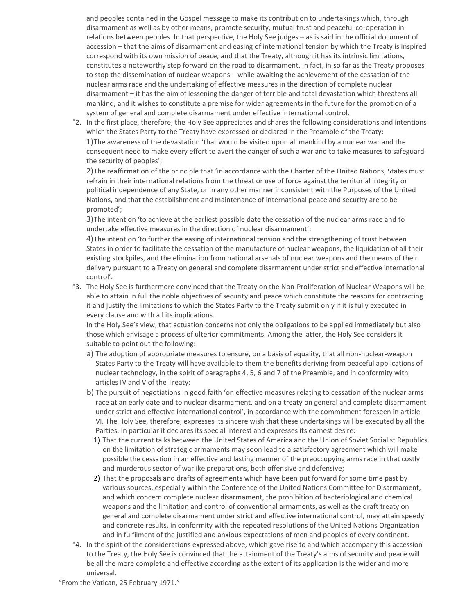and peoples contained in the Gospel message to make its contribution to undertakings which, through disarmament as well as by other means, promote security, mutual trust and peaceful co-operation in relations between peoples. In that perspective, the Holy See judges – as is said in the official document of accession – that the aims of disarmament and easing of international tension by which the Treaty is inspired correspond with its own mission of peace, and that the Treaty, although it has its intrinsic limitations, constitutes a noteworthy step forward on the road to disarmament. In fact, in so far as the Treaty proposes to stop the dissemination of nuclear weapons – while awaiting the achievement of the cessation of the nuclear arms race and the undertaking of effective measures in the direction of complete nuclear disarmament – it has the aim of lessening the danger of terrible and total devastation which threatens all mankind, and it wishes to constitute a premise for wider agreements in the future for the promotion of a system of general and complete disarmament under effective international control.

"2. In the first place, therefore, the Holy See appreciates and shares the following considerations and intentions which the States Party to the Treaty have expressed or declared in the Preamble of the Treaty: 1)The awareness of the devastation 'that would be visited upon all mankind by a nuclear war and the consequent need to make every effort to avert the danger of such a war and to take measures to safeguard

the security of peoples';

2)The reaffirmation of the principle that 'in accordance with the Charter of the United Nations, States must refrain in their international relations from the threat or use of force against the territorial integrity or political independence of any State, or in any other manner inconsistent with the Purposes of the United Nations, and that the establishment and maintenance of international peace and security are to be promoted';

3)The intention 'to achieve at the earliest possible date the cessation of the nuclear arms race and to undertake effective measures in the direction of nuclear disarmament';

4)The intention 'to further the easing of international tension and the strengthening of trust between States in order to facilitate the cessation of the manufacture of nuclear weapons, the liquidation of all their existing stockpiles, and the elimination from national arsenals of nuclear weapons and the means of their delivery pursuant to a Treaty on general and complete disarmament under strict and effective international control'.

"3. The Holy See is furthermore convinced that the Treaty on the Non-Proliferation of Nuclear Weapons will be able to attain in full the noble objectives of security and peace which constitute the reasons for contracting it and justify the limitations to which the States Party to the Treaty submit only if it is fully executed in every clause and with all its implications.

In the Holy See's view, that actuation concerns not only the obligations to be applied immediately but also those which envisage a process of ulterior commitments. Among the latter, the Holy See considers it suitable to point out the following:

- a) The adoption of appropriate measures to ensure, on a basis of equality, that all non-nuclear-weapon States Party to the Treaty will have available to them the benefits deriving from peaceful applications of nuclear technology, in the spirit of paragraphs 4, 5, 6 and 7 of the Preamble, and in conformity with articles IV and V of the Treaty;
- b) The pursuit of negotiations in good faith 'on effective measures relating to cessation of the nuclear arms race at an early date and to nuclear disarmament, and on a treaty on general and complete disarmament under strict and effective international control', in accordance with the commitment foreseen in article VI. The Holy See, therefore, expresses its sincere wish that these undertakings will be executed by all the Parties. In particular it declares its special interest and expresses its earnest desire:
	- 1) That the current talks between the United States of America and the Union of Soviet Socialist Republics on the limitation of strategic armaments may soon lead to a satisfactory agreement which will make possible the cessation in an effective and lasting manner of the preoccupying arms race in that costly and murderous sector of warlike preparations, both offensive and defensive;
	- 2) That the proposals and drafts of agreements which have been put forward for some time past by various sources, especially within the Conference of the United Nations Committee for Disarmament, and which concern complete nuclear disarmament, the prohibition of bacteriological and chemical weapons and the limitation and control of conventional armaments, as well as the draft treaty on general and complete disarmament under strict and effective international control, may attain speedy and concrete results, in conformity with the repeated resolutions of the United Nations Organization and in fulfilment of the justified and anxious expectations of men and peoples of every continent.
- "4. In the spirit of the considerations expressed above, which gave rise to and which accompany this accession to the Treaty, the Holy See is convinced that the attainment of the Treaty's aims of security and peace will be all the more complete and effective according as the extent of its application is the wider and more universal.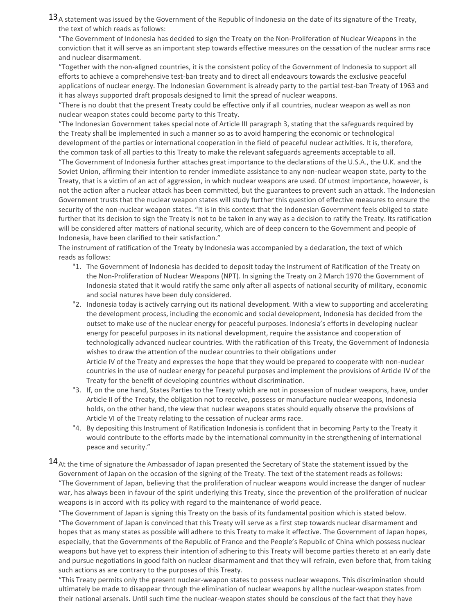$13_A$  statement was issued by the Government of the Republic of Indonesia on the date of its signature of the Treaty, the text of which reads as follows:

"The Government of Indonesia has decided to sign the Treaty on the Non-Proliferation of Nuclear Weapons in the conviction that it will serve as an important step towards effective measures on the cessation of the nuclear arms race and nuclear disarmament.

"Together with the non-aligned countries, it is the consistent policy of the Government of Indonesia to support all efforts to achieve a comprehensive test-ban treaty and to direct all endeavours towards the exclusive peaceful applications of nuclear energy. The Indonesian Government is already party to the partial test-ban Treaty of 1963 and it has always supported draft proposals designed to limit the spread of nuclear weapons.

"There is no doubt that the present Treaty could be effective only if all countries, nuclear weapon as well as non nuclear weapon states could become party to this Treaty.

"The Indonesian Government takes special note of Article III paragraph 3, stating that the safeguards required by the Treaty shall be implemented in such a manner so as to avoid hampering the economic or technological development of the parties or international cooperation in the field of peaceful nuclear activities. It is, therefore, the common task of all parties to this Treaty to make the relevant safeguards agreements acceptable to all.

"The Government of Indonesia further attaches great importance to the declarations of the U.S.A., the U.K. and the Soviet Union, affirming their intention to render immediate assistance to any non-nuclear weapon state, party to the Treaty, that is a victim of an act of aggression, in which nuclear weapons are used. Of utmost importance, however, is not the action after a nuclear attack has been committed, but the guarantees to prevent such an attack. The Indonesian Government trusts that the nuclear weapon states will study further this question of effective measures to ensure the security of the non-nuclear weapon states. "It is in this context that the Indonesian Government feels obliged to state further that its decision to sign the Treaty is not to be taken in any way as a decision to ratify the Treaty. Its ratification will be considered after matters of national security, which are of deep concern to the Government and people of Indonesia, have been clarified to their satisfaction."

The instrument of ratification of the Treaty by Indonesia was accompanied by a declaration, the text of which reads as follows:

- "1. The Government of Indonesia has decided to deposit today the Instrument of Ratification of the Treaty on the Non-Proliferation of Nuclear Weapons (NPT). In signing the Treaty on 2 March 1970 the Government of Indonesia stated that it would ratify the same only after all aspects of national security of military, economic and social natures have been duly considered.
- "2. Indonesia today is actively carrying out its national development. With a view to supporting and accelerating the development process, including the economic and social development, Indonesia has decided from the outset to make use of the nuclear energy for peaceful purposes. Indonesia's efforts in developing nuclear energy for peaceful purposes in its national development, require the assistance and cooperation of technologically advanced nuclear countries. With the ratification of this Treaty, the Government of Indonesia wishes to draw the attention of the nuclear countries to their obligations under Article IV of the Treaty and expresses the hope that they would be prepared to cooperate with non-nuclear countries in the use of nuclear energy for peaceful purposes and implement the provisions of Article IV of the Treaty for the benefit of developing countries without discrimination.
- "3. If, on the one hand, States Parties to the Treaty which are not in possession of nuclear weapons, have, under Article II of the Treaty, the obligation not to receive, possess or manufacture nuclear weapons, Indonesia holds, on the other hand, the view that nuclear weapons states should equally observe the provisions of Article VI of the Treaty relating to the cessation of nuclear arms race.
- "4. By depositing this Instrument of Ratification Indonesia is confident that in becoming Party to the Treaty it would contribute to the efforts made by the international community in the strengthening of international peace and security."
- 14 At the time of signature the Ambassador of Japan presented the Secretary of State the statement issued by the Government of Japan on the occasion of the signing of the Treaty. The text of the statement reads as follows: "The Government of Japan, believing that the proliferation of nuclear weapons would increase the danger of nuclear war, has always been in favour of the spirit underlying this Treaty, since the prevention of the proliferation of nuclear weapons is in accord with its policy with regard to the maintenance of world peace.

"The Government of Japan is signing this Treaty on the basis of its fundamental position which is stated below. "The Government of Japan is convinced that this Treaty will serve as a first step towards nuclear disarmament and hopes that as many states as possible will adhere to this Treaty to make it effective. The Government of Japan hopes, especially, that the Governments of the Republic of France and the People's Republic of China which possess nuclear weapons but have yet to express their intention of adhering to this Treaty will become parties thereto at an early date and pursue negotiations in good faith on nuclear disarmament and that they will refrain, even before that, from taking such actions as are contrary to the purposes of this Treaty.

"This Treaty permits only the present nuclear-weapon states to possess nuclear weapons. This discrimination should ultimately be made to disappear through the elimination of nuclear weapons by allthe nuclear-weapon states from their national arsenals. Until such time the nuclear-weapon states should be conscious of the fact that they have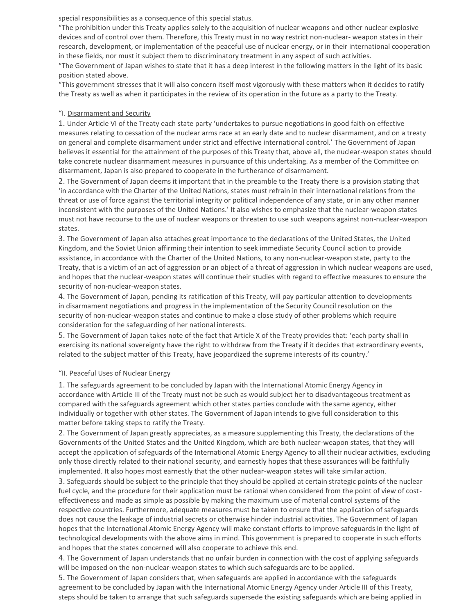special responsibilities as a consequence of this special status.

"The prohibition under this Treaty applies solely to the acquisition of nuclear weapons and other nuclear explosive devices and of control over them. Therefore, this Treaty must in no way restrict non-nuclear- weapon states in their research, development, or implementation of the peaceful use of nuclear energy, or in their international cooperation in these fields, nor must it subject them to discriminatory treatment in any aspect of such activities. "The Government of Japan wishes to state that it has a deep interest in the following matters in the light of its basic position stated above.

"This government stresses that it will also concern itself most vigorously with these matters when it decides to ratify the Treaty as well as when it participates in the review of its operation in the future as a party to the Treaty.

#### "I. Disarmament and Security

1. Under Article VI of the Treaty each state party 'undertakes to pursue negotiations in good faith on effective measures relating to cessation of the nuclear arms race at an early date and to nuclear disarmament, and on a treaty on general and complete disarmament under strict and effective international control.' The Government of Japan believes it essential for the attainment of the purposes of this Treaty that, above all, the nuclear-weapon states should take concrete nuclear disarmament measures in pursuance of this undertaking. As a member of the Committee on disarmament, Japan is also prepared to cooperate in the furtherance of disarmament.

2. The Government of Japan deems it important that in the preamble to the Treaty there is a provision stating that 'in accordance with the Charter of the United Nations, states must refrain in their international relations from the threat or use of force against the territorial integrity or political independence of any state, or in any other manner inconsistent with the purposes of the United Nations.' It also wishes to emphasize that the nuclear-weapon states must not have recourse to the use of nuclear weapons or threaten to use such weapons against non-nuclear-weapon states.

3. The Government of Japan also attaches great importance to the declarations of the United States, the United Kingdom, and the Soviet Union affirming their intention to seek immediate Security Council action to provide assistance, in accordance with the Charter of the United Nations, to any non-nuclear-weapon state, party to the Treaty, that is a victim of an act of aggression or an object of a threat of aggression in which nuclear weapons are used, and hopes that the nuclear-weapon states will continue their studies with regard to effective measures to ensure the security of non-nuclear-weapon states.

4. The Government of Japan, pending its ratification of this Treaty, will pay particular attention to developments in disarmament negotiations and progress in the implementation of the Security Council resolution on the security of non-nuclear-weapon states and continue to make a close study of other problems which require consideration for the safeguarding of her national interests.

5. The Government of Japan takes note of the fact that Article X of the Treaty provides that: 'each party shall in exercising its national sovereignty have the right to withdraw from the Treaty if it decides that extraordinary events, related to the subject matter of this Treaty, have jeopardized the supreme interests of its country.'

#### "II. Peaceful Uses of Nuclear Energy

1. The safeguards agreement to be concluded by Japan with the International Atomic Energy Agency in accordance with Article III of the Treaty must not be such as would subject her to disadvantageous treatment as compared with the safeguards agreement which other states parties conclude with thesame agency, either individually or together with other states. The Government of Japan intends to give full consideration to this matter before taking steps to ratify the Treaty.

2. The Government of Japan greatly appreciates, as a measure supplementing this Treaty, the declarations of the Governments of the United States and the United Kingdom, which are both nuclear-weapon states, that they will accept the application of safeguards of the International Atomic Energy Agency to all their nuclear activities, excluding only those directly related to their national security, and earnestly hopes that these assurances will be faithfully implemented. It also hopes most earnestly that the other nuclear-weapon states will take similar action.

3. Safeguards should be subject to the principle that they should be applied at certain strategic points of the nuclear fuel cycle, and the procedure for their application must be rational when considered from the point of view of costeffectiveness and made as simple as possible by making the maximum use of material control systems of the respective countries. Furthermore, adequate measures must be taken to ensure that the application of safeguards does not cause the leakage of industrial secrets or otherwise hinder industrial activities. The Government of Japan hopes that the International Atomic Energy Agency will make constant efforts to improve safeguards in the light of technological developments with the above aims in mind. This government is prepared to cooperate in such efforts and hopes that the states concerned will also cooperate to achieve this end.

4. The Government of Japan understands that no unfair burden in connection with the cost of applying safeguards will be imposed on the non-nuclear-weapon states to which such safeguards are to be applied.

5. The Government of Japan considers that, when safeguards are applied in accordance with the safeguards agreement to be concluded by Japan with the International Atomic Energy Agency under Article III of this Treaty, steps should be taken to arrange that such safeguards supersede the existing safeguards which are being applied in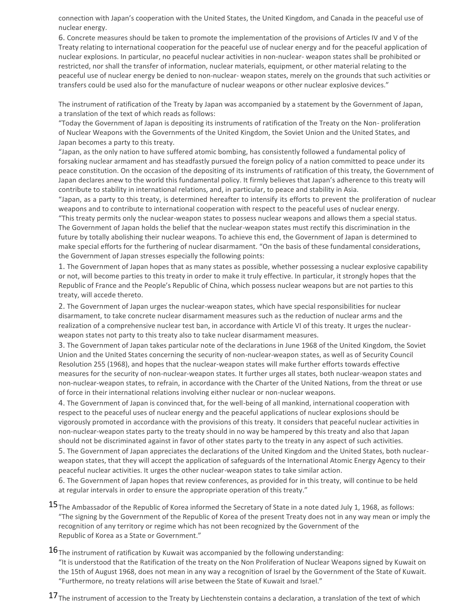connection with Japan's cooperation with the United States, the United Kingdom, and Canada in the peaceful use of nuclear energy.

6. Concrete measures should be taken to promote the implementation of the provisions of Articles IV and V of the Treaty relating to international cooperation for the peaceful use of nuclear energy and for the peaceful application of nuclear explosions. In particular, no peaceful nuclear activities in non-nuclear- weapon states shall be prohibited or restricted, nor shall the transfer of information, nuclear materials, equipment, or other material relating to the peaceful use of nuclear energy be denied to non-nuclear- weapon states, merely on the grounds that such activities or transfers could be used also forthe manufacture of nuclear weapons or other nuclear explosive devices."

The instrument of ratification of the Treaty by Japan was accompanied by a statement by the Government of Japan, a translation of the text of which reads as follows:

"Today the Government of Japan is depositing its instruments of ratification of the Treaty on the Non- proliferation of Nuclear Weapons with the Governments of the United Kingdom, the Soviet Union and the United States, and Japan becomes a party to this treaty.

"Japan, as the only nation to have suffered atomic bombing, has consistently followed a fundamental policy of forsaking nuclear armament and has steadfastly pursued the foreign policy of a nation committed to peace under its peace constitution. On the occasion of the depositing of its instruments of ratification of this treaty, the Government of Japan declares anew to the world this fundamental policy. It firmly believes that Japan's adherence to this treaty will contribute to stability in international relations, and, in particular, to peace and stability in Asia.

"Japan, as a party to this treaty, is determined hereafter to intensify its efforts to prevent the proliferation of nuclear weapons and to contribute to international cooperation with respect to the peaceful uses of nuclear energy.

"This treaty permits only the nuclear-weapon states to possess nuclear weapons and allows them a special status. The Government of Japan holds the belief that the nuclear-weapon states must rectify this discrimination in the future by totally abolishing their nuclear weapons. To achieve this end, the Government of Japan is determined to make special efforts for the furthering of nuclear disarmament. "On the basis of these fundamental considerations, the Government of Japan stresses especially the following points:

1. The Government of Japan hopes that as many states as possible, whether possessing a nuclear explosive capability or not, will become parties to this treaty in order to make it truly effective. In particular, it strongly hopes that the Republic of France and the People's Republic of China, which possess nuclear weapons but are not parties to this treaty, will accede thereto.

2. The Government of Japan urges the nuclear-weapon states, which have special responsibilities for nuclear disarmament, to take concrete nuclear disarmament measures such as the reduction of nuclear arms and the realization of a comprehensive nuclear test ban, in accordance with Article VI of this treaty. It urges the nuclearweapon states not party to this treaty also to take nuclear disarmament measures.

3. The Government of Japan takes particular note of the declarations in June 1968 of the United Kingdom, the Soviet Union and the United States concerning the security of non-nuclear-weapon states, as well as of Security Council Resolution 255 (1968), and hopes that the nuclear-weapon states will make further efforts towards effective measures for the security of non-nuclear-weapon states. It further urges all states, both nuclear-weapon states and non-nuclear-weapon states, to refrain, in accordance with the Charter of the United Nations, from the threat or use of force in their international relations involving either nuclear or non-nuclear weapons.

4. The Government of Japan is convinced that, for the well-being of all mankind, international cooperation with respect to the peaceful uses of nuclear energy and the peaceful applications of nuclear explosions should be vigorously promoted in accordance with the provisions of this treaty. It considers that peaceful nuclear activities in non-nuclear-weapon states party to the treaty should in no way be hampered by this treaty and also that Japan should not be discriminated against in favor of other states party to the treaty in any aspect of such activities.

5. The Government of Japan appreciates the declarations of the United Kingdom and the United States, both nuclearweapon states, that they will accept the application of safeguards of the International Atomic Energy Agency to their peaceful nuclear activities. It urges the other nuclear-weapon states to take similar action.

6. The Government of Japan hopes that review conferences, as provided for in this treaty, will continue to be held at regular intervals in order to ensure the appropriate operation of this treaty."

15The Ambassador of the Republic of Korea informed the Secretary of State in a note dated July 1, 1968, as follows: "The signing by the Government of the Republic of Korea of the present Treaty does not in any way mean or imply the recognition of any territory or regime which has not been recognized by the Government of the Republic of Korea as a State or Government."

 $16$ The instrument of ratification by Kuwait was accompanied by the following understanding: "It is understood that the Ratification of the treaty on the Non Proliferation of Nuclear Weapons signed by Kuwait on the 15th of August 1968, does not mean in any way a recognition of Israel by the Government of the State of Kuwait. "Furthermore, no treaty relations will arise between the State of Kuwait and Israel."

17 The instrument of accession to the Treaty by Liechtenstein contains a declaration, a translation of the text of which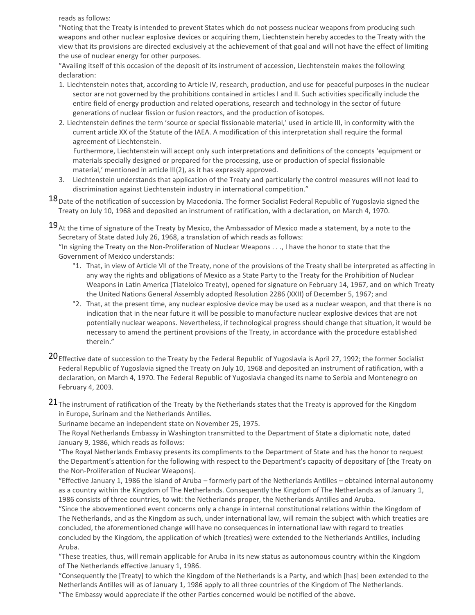reads as follows:

"Noting that the Treaty is intended to prevent States which do not possess nuclear weapons from producing such weapons and other nuclear explosive devices or acquiring them, Liechtenstein hereby accedes to the Treaty with the view that its provisions are directed exclusively at the achievement of that goal and will not have the effect of limiting the use of nuclear energy for other purposes.

"Availing itself of this occasion of the deposit of its instrument of accession, Liechtenstein makes the following declaration:

- 1. Liechtenstein notes that, according to Article IV, research, production, and use for peaceful purposes in the nuclear sector are not governed by the prohibitions contained in articles I and II. Such activities specifically include the entire field of energy production and related operations, research and technology in the sector of future generations of nuclear fission or fusion reactors, and the production ofisotopes.
- 2. Liechtenstein defines the term 'source or special fissionable material,' used in article III, in conformity with the current article XX of the Statute of the IAEA. A modification of this interpretation shall require the formal agreement of Liechtenstein.

Furthermore, Liechtenstein will accept only such interpretations and definitions of the concepts 'equipment or materials specially designed or prepared for the processing, use or production of special fissionable material,' mentioned in article III(2), as it has expressly approved.

- 3. Liechtenstein understands that application of the Treaty and particularly the control measures will not lead to discrimination against Liechtenstein industry in international competition."
- $18$  Date of the notification of succession by Macedonia. The former Socialist Federal Republic of Yugoslavia signed the Treaty on July 10, 1968 and deposited an instrument of ratification, with a declaration, on March 4, 1970.

19 At the time of signature of the Treaty by Mexico, the Ambassador of Mexico made a statement, by a note to the Secretary of State dated July 26, 1968, a translation of which reads as follows:

"In signing the Treaty on the Non-Proliferation of Nuclear Weapons . . ., I have the honor to state that the Government of Mexico understands:

- "1. That, in view of Article VII of the Treaty, none of the provisions of the Treaty shall be interpreted as affecting in any way the rights and obligations of Mexico as a State Party to the Treaty for the Prohibition of Nuclear Weapons in Latin America (Tlatelolco Treaty), opened for signature on February 14, 1967, and on which Treaty the United Nations General Assembly adopted Resolution 2286 (XXII) of December 5, 1967; and
- "2. That, at the present time, any nuclear explosive device may be used as a nuclear weapon, and that there is no indication that in the near future it will be possible to manufacture nuclear explosive devices that are not potentially nuclear weapons. Nevertheless, if technological progress should change that situation, it would be necessary to amend the pertinent provisions of the Treaty, in accordance with the procedure established therein."
- 20 Effective date of succession to the Treaty by the Federal Republic of Yugoslavia is April 27, 1992; the former Socialist Federal Republic of Yugoslavia signed the Treaty on July 10, 1968 and deposited an instrument of ratification, with a declaration, on March 4, 1970. The Federal Republic of Yugoslavia changed its name to Serbia and Montenegro on February 4, 2003.
- 21 The instrument of ratification of the Treaty by the Netherlands states that the Treaty is approved for the Kingdom in Europe, Surinam and the Netherlands Antilles.

Suriname became an independent state on November 25, 1975.

The Royal Netherlands Embassy in Washington transmitted to the Department of State a diplomatic note, dated January 9, 1986, which reads as follows:

"The Royal Netherlands Embassy presents its compliments to the Department of State and has the honor to request the Department's attention for the following with respect to the Department's capacity of depositary of [the Treaty on the Non-Proliferation of Nuclear Weapons].

"Effective January 1, 1986 the island of Aruba – formerly part of the Netherlands Antilles – obtained internal autonomy as a country within the Kingdom of The Netherlands. Consequently the Kingdom of The Netherlands as of January 1, 1986 consists of three countries, to wit: the Netherlands proper, the Netherlands Antilles and Aruba.

"Since the abovementioned event concerns only a change in internal constitutional relations within the Kingdom of The Netherlands, and as the Kingdom as such, under international law, will remain the subject with which treaties are concluded, the aforementioned change will have no consequences in international law with regard to treaties concluded by the Kingdom, the application of which (treaties) were extended to the Netherlands Antilles, including Aruba.

"These treaties, thus, will remain applicable for Aruba in its new status as autonomous country within the Kingdom of The Netherlands effective January 1, 1986.

"Consequently the [Treaty] to which the Kingdom of the Netherlands is a Party, and which [has] been extended to the Netherlands Antilles will as of January 1, 1986 apply to all three countries of the Kingdom of The Netherlands. "The Embassy would appreciate if the other Parties concerned would be notified of the above.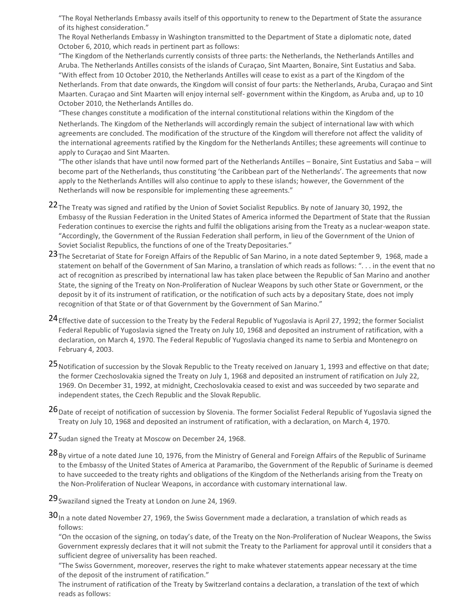"The Royal Netherlands Embassy avails itself of this opportunity to renew to the Department of State the assurance of its highest consideration."

The Royal Netherlands Embassy in Washington transmitted to the Department of State a diplomatic note, dated October 6, 2010, which reads in pertinent part as follows:

"The Kingdom of the Netherlands currently consists of three parts: the Netherlands, the Netherlands Antilles and Aruba. The Netherlands Antilles consists of the islands of Curaçao, Sint Maarten, Bonaire, Sint Eustatius and Saba. "With effect from 10 October 2010, the Netherlands Antilles will cease to exist as a part of the Kingdom of the Netherlands. From that date onwards, the Kingdom will consist of four parts: the Netherlands, Aruba, Curaçao and Sint Maarten. Curaçao and Sint Maarten will enjoy internal self- government within the Kingdom, as Aruba and, up to 10 October 2010, the Netherlands Antilles do.

"These changes constitute a modification of the internal constitutional relations within the Kingdom of the Netherlands. The Kingdom of the Netherlands will accordingly remain the subject of international law with which agreements are concluded. The modification of the structure of the Kingdom will therefore not affect the validity of the international agreements ratified by the Kingdom for the Netherlands Antilles; these agreements will continue to apply to Curaçao and Sint Maarten.

"The other islands that have until now formed part of the Netherlands Antilles – Bonaire, Sint Eustatius and Saba – will become part of the Netherlands, thus constituting 'the Caribbean part of the Netherlands'. The agreements that now apply to the Netherlands Antilles will also continue to apply to these islands; however, the Government of the Netherlands will now be responsible for implementing these agreements."

- 22 The Treaty was signed and ratified by the Union of Soviet Socialist Republics. By note of January 30, 1992, the Embassy of the Russian Federation in the United States of America informed the Department of State that the Russian Federation continues to exercise the rights and fulfil the obligations arising from the Treaty as a nuclear-weapon state. "Accordingly, the Government of the Russian Federation shall perform, in lieu of the Government of the Union of Soviet Socialist Republics, the functions of one of the Treaty Depositaries."
- 23 The Secretariat of State for Foreign Affairs of the Republic of San Marino, in a note dated September 9, 1968, made a statement on behalf of the Government of San Marino, a translation of which reads as follows: ". . . in the event that no act of recognition as prescribed by international law has taken place between the Republic of San Marino and another State, the signing of the Treaty on Non-Proliferation of Nuclear Weapons by such other State or Government, or the deposit by it of its instrument of ratification, or the notification of such acts by a depositary State, does not imply recognition of that State or of that Government by the Government of San Marino."
- 24 Effective date of succession to the Treaty by the Federal Republic of Yugoslavia is April 27, 1992; the former Socialist Federal Republic of Yugoslavia signed the Treaty on July 10, 1968 and deposited an instrument of ratification, with a declaration, on March 4, 1970. The Federal Republic of Yugoslavia changed its name to Serbia and Montenegro on February 4, 2003.
- 25 Notification of succession by the Slovak Republic to the Treaty received on January 1, 1993 and effective on that date; the former Czechoslovakia signed the Treaty on July 1, 1968 and deposited an instrument of ratification on July 22, 1969. On December 31, 1992, at midnight, Czechoslovakia ceased to exist and was succeeded by two separate and independent states, the Czech Republic and the Slovak Republic.
- 26 Date of receipt of notification of succession by Slovenia. The former Socialist Federal Republic of Yugoslavia signed the Treaty on July 10, 1968 and deposited an instrument of ratification, with a declaration, on March 4, 1970.
- 27 Sudan signed the Treaty at Moscow on December 24, 1968.
- 28<sub>By</sub> virtue of a note dated June 10, 1976, from the Ministry of General and Foreign Affairs of the Republic of Suriname to the Embassy of the United States of America at Paramaribo, the Government of the Republic of Suriname is deemed to have succeeded to the treaty rights and obligations of the Kingdom of the Netherlands arising from the Treaty on the Non-Proliferation of Nuclear Weapons, in accordance with customary international law.
- 29 Swaziland signed the Treaty at London on June 24, 1969.
- $30$ <sub>In a note dated November 27, 1969, the Swiss Government made a declaration, a translation of which reads as</sub> follows:

"On the occasion of the signing, on today's date, of the Treaty on the Non-Proliferation of Nuclear Weapons, the Swiss Government expressly declares that it will not submit the Treaty to the Parliament for approval until it considers that a sufficient degree of universality has been reached.

"The Swiss Government, moreover, reserves the right to make whatever statements appear necessary at the time of the deposit of the instrument of ratification."

The instrument of ratification of the Treaty by Switzerland contains a declaration, a translation of the text of which reads as follows: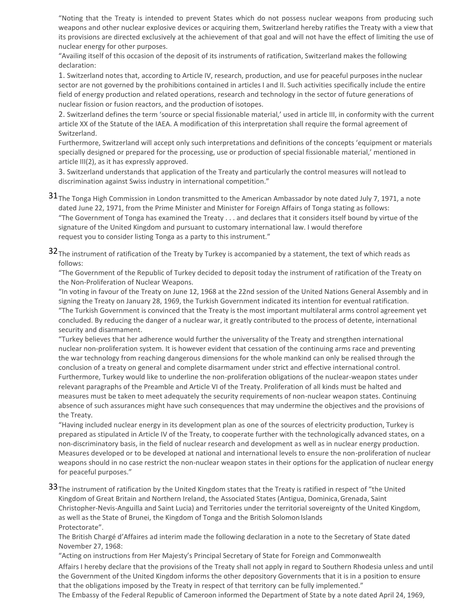"Noting that the Treaty is intended to prevent States which do not possess nuclear weapons from producing such weapons and other nuclear explosive devices or acquiring them, Switzerland hereby ratifies the Treaty with a view that its provisions are directed exclusively at the achievement of that goal and will not have the effect of limiting the use of nuclear energy for other purposes.

"Availing itself of this occasion of the deposit of its instruments of ratification, Switzerland makes the following declaration:

1. Switzerland notes that, according to Article IV, research, production, and use for peaceful purposes inthe nuclear sector are not governed by the prohibitions contained in articles I and II. Such activities specifically include the entire field of energy production and related operations, research and technology in the sector of future generations of nuclear fission or fusion reactors, and the production of isotopes.

2. Switzerland defines the term 'source or special fissionable material,' used in article III, in conformity with the current article XX of the Statute of the IAEA. A modification of this interpretation shall require the formal agreement of Switzerland.

Furthermore, Switzerland will accept only such interpretations and definitions of the concepts 'equipment or materials specially designed or prepared for the processing, use or production of special fissionable material,' mentioned in article III(2), as it has expressly approved.

3. Switzerland understands that application of the Treaty and particularly the control measures will notlead to discrimination against Swiss industry in international competition."

- 31 The Tonga High Commission in London transmitted to the American Ambassador by note dated July 7, 1971, a note dated June 22, 1971, from the Prime Minister and Minister for Foreign Affairs of Tonga stating as follows: "The Government of Tonga has examined the Treaty . . . and declares that it considers itself bound by virtue of the signature of the United Kingdom and pursuant to customary international law. I would therefore request you to consider listing Tonga as a party to this instrument."
- 32 The instrument of ratification of the Treaty by Turkey is accompanied by a statement, the text of which reads as follows:

"The Government of the Republic of Turkey decided to deposit today the instrument of ratification of the Treaty on the Non-Proliferation of Nuclear Weapons.

"In voting in favour of the Treaty on June 12, 1968 at the 22nd session of the United Nations General Assembly and in signing the Treaty on January 28, 1969, the Turkish Government indicated its intention for eventual ratification. "The Turkish Government is convinced that the Treaty is the most important multilateral arms control agreement yet concluded. By reducing the danger of a nuclear war, it greatly contributed to the process of detente, international security and disarmament.

"Turkey believes that her adherence would further the universality of the Treaty and strengthen international nuclear non-proliferation system. It is however evident that cessation of the continuing arms race and preventing the war technology from reaching dangerous dimensions for the whole mankind can only be realised through the conclusion of a treaty on general and complete disarmament under strict and effective international control. Furthermore, Turkey would like to underline the non-proliferation obligations of the nuclear-weapon states under relevant paragraphs of the Preamble and Article VI of the Treaty. Proliferation of all kinds must be halted and measures must be taken to meet adequately the security requirements of non-nuclear weapon states. Continuing absence of such assurances might have such consequences that may undermine the objectives and the provisions of the Treaty.

"Having included nuclear energy in its development plan as one of the sources of electricity production, Turkey is prepared as stipulated in Article IV of the Treaty, to cooperate further with the technologically advanced states, on a non-discriminatory basis, in the field of nuclear research and development as well as in nuclear energy production. Measures developed or to be developed at national and international levels to ensure the non-proliferation of nuclear weapons should in no case restrict the non-nuclear weapon states in their options for the application of nuclear energy for peaceful purposes."

33 The instrument of ratification by the United Kingdom states that the Treaty is ratified in respect of "the United Kingdom of Great Britain and Northern Ireland, the Associated States (Antigua, Dominica,Grenada, Saint Christopher-Nevis-Anguilla and Saint Lucia) and Territories under the territorial sovereignty of the United Kingdom, as well as the State of Brunei, the Kingdom of Tonga and the British Solomon Islands Protectorate".

The British Chargé d'Affaires ad interim made the following declaration in a note to the Secretary of State dated November 27, 1968:

"Acting on instructions from Her Majesty's Principal Secretary of State for Foreign and Commonwealth Affairs I hereby declare that the provisions of the Treaty shall not apply in regard to Southern Rhodesia unless and until the Government of the United Kingdom informs the other depository Governments that it is in a position to ensure that the obligations imposed by the Treaty in respect of that territory can be fully implemented."

The Embassy of the Federal Republic of Cameroon informed the Department of State by a note dated April 24, 1969,